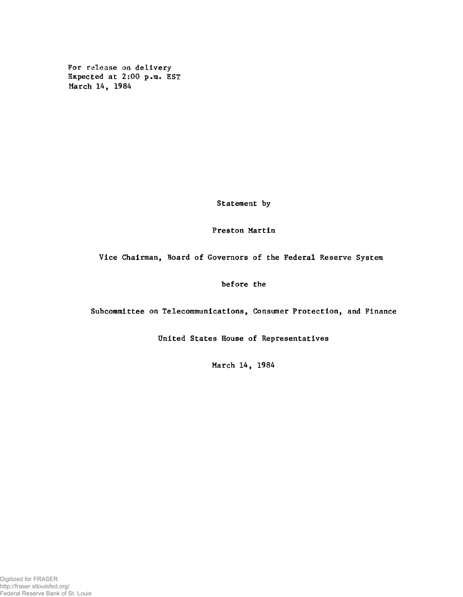**For release on delivery Expected at 2:00 p.m. EST March 14, 1984**

**Statement by**

**Preston Martin**

**Vice Chairman, Board of Governors of the Federal Reserve System**

**before the**

**Subcommittee on Telecommunications, Consumer Protection, and Finance**

**United States House of Representatives**

**March 14, 1984**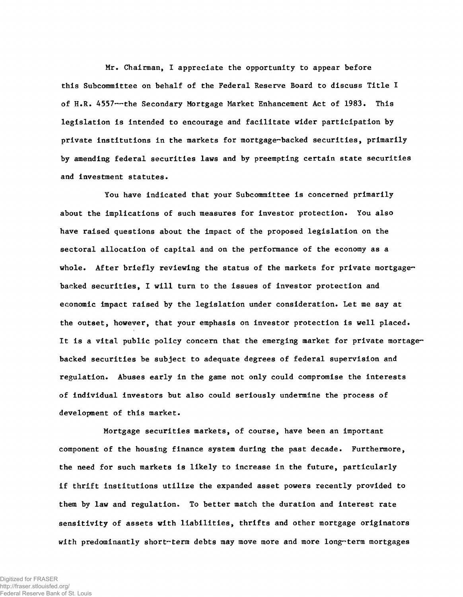**Mr. Chairman, I appreciate the opportunity to appear before this Subcommittee on behalf of the Federal Reserve Board to discuss Title I of H.R. 4557— the Secondary Mortgage Market Enhancement Act of 1983. This legislation is intended to encourage and facilitate wider participation by private institutions in the markets for mortgage-backed securities, primarily by amending federal securities laws and by preempting certain state securities and investment statutes.**

**You have indicated that your Subcommittee is concerned primarily about the implications of such measures for investor protection. You also have raised questions about the impact of the proposed legislation on the sectoral allocation of capital and on the performance of the economy as a whole. After briefly reviewing the status of the markets for private mortgagebacked securities, I will turn to the issues of investor protection and economic impact raised by the legislation under consideration. Let me say at the outset, however, that your emphasis on investor protection is well placed. It is a vital public policy concern that the emerging market for private mortagebacked securities be subject to adequate degrees of federal supervision and regulation. Abuses early in the game not only could compromise the interests of individual investors but also could seriously undermine the process of development of this market.**

**Mortgage securities markets, of course, have been an important component of the housing finance system during the past decade. Furthermore, the need for such markets is likely to increase in the future, particularly if thrift institutions utilize the expanded asset powers recently provided to them by law and regulation. To better match the duration and interest rate sensitivity of assets with liabilities, thrifts and other mortgage originators** *w ith* **predominantly short-term debts may move more and more long-term mortgages**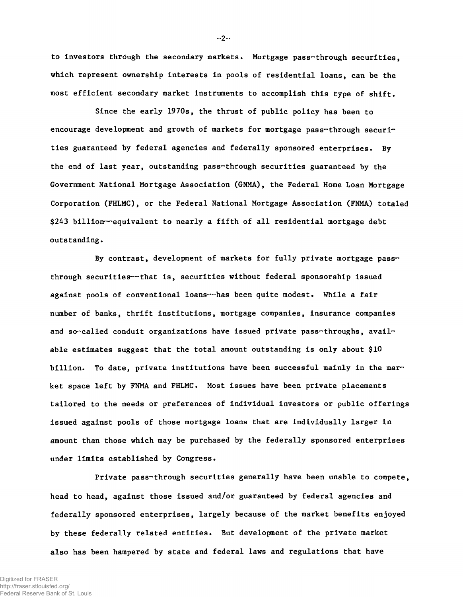**to investors through the secondary markets. Mortgage pass-through securities, which represent ownership interests in pools of residential loans, can be the most efficient secondary market instruments to accomplish this type of shift.**

**Since the early 1970s, the thrust of public policy has been to** encourage development and growth of markets for mortgage pass-through securi**ties guaranteed by federal agencies and federally sponsored enterprises. By the end of last year, outstanding pass-through securities guaranteed by the Government National Mortgage Association (GNMA), the Federal Home Loan Mortgage Corporation (FHLMC), or the Federal National Mortgage Association (FNMA) totaled \$243 billion— equivalent to nearly a fifth of all residential mortgage debt outstanding.**

**By contrast, development of markets for fully private mortgage passthrough securities— that is, securities without federal sponsorship issued against pools of conventional loans— has been quite modest. While a fair number of banks, thrift institutions, mortgage companies, insurance companies** and so-called conduit organizations have issued private pass-throughs, avail**able estimates suggest that the total amount outstanding is only about \$10 billion. To date, private institutions have been successful mainly in the market space left by FNMA and FHLMC. Most issues have been private placements tailored to the needs or preferences of individual investors or public offerings issued against pools of those mortgage loans that are individually larger in amount than those which may be purchased by the federally sponsored enterprises under limits established by Congress.**

**Private pass-through securities generally have been unable to compete, head to head, against those issued and/or guaranteed by federal agencies and federally sponsored enterprises, largely because of the market benefits enjoyed by these federally related entities. But development of the private market also has been hampered by state and federal laws and regulations that have**

**- 2-**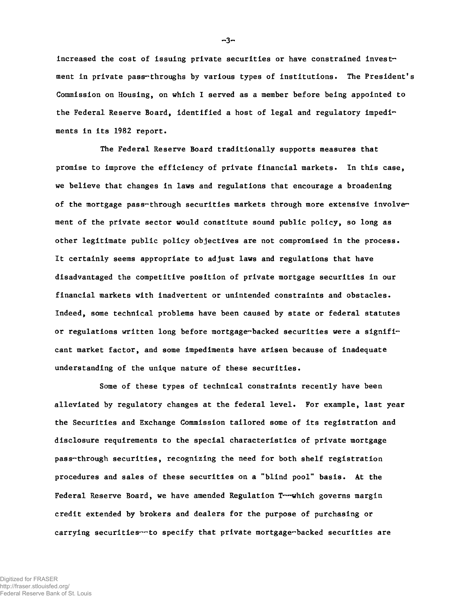**increased the cost of issuing private securities or have constrained invest**ment in private pass-throughs by various types of institutions. The President's **Commission on Housing, on which I served as a member before being appointed to the Federal Reserve Board, identified a host of legal and regulatory impediments in its 1982 report.**

**The Federal Reserve Board traditionally supports measures that promise to improve the efficiency of private financial markets. In this case, we believe that changes in laws and regulations that encourage a broadening of the mortgage pass-through securities markets through more extensive involvement of the private sector would constitute sound public policy, so long as other legitimate public policy objectives are not compromised in the process. It certainly seems appropriate to adjust laws and regulations that have disadvantaged the competitive position of private mortgage securities in our financial markets with inadvertent or unintended constraints and obstacles. Indeed, some technical problems have been caused by state or federal statutes or regulations written long before mortgage-backed securities were a significant market factor, and some impediments have arisen because of inadequate understanding of the unique nature of these securities.**

**Some of these types of technical constraints recently have been alleviated by regulatory changes at the federal level. For example, last year the Securities and Exchange Commission tailored some of its registration and disclosure requirements to the special characteristics of private mortgage pass-through securities, recognizing the need for both shelf registration procedures and sales of these securities on a "blind pool" basis. At the Federal Reserve Board, we have amended Regulation T— which governs margin credit extended by brokers and dealers for the purpose of purchasing or carrying securities— to specify that private mortgage-backed securities are**

**- 3-**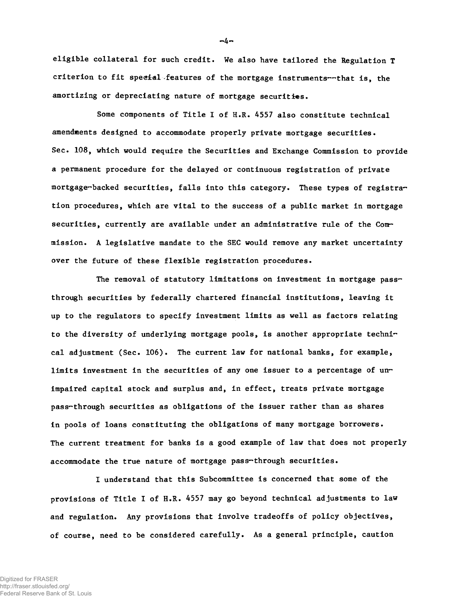**eligible collateral for such credit. We also have tailored the Regulation T criterion to fit special features of the mortgage instruments— that is, the amortizing or depreciating nature of mortgage securities.**

**Some components of Title I of H.R. 4557 also constitute technical amendments designed to accommodate properly private mortgage securities. Sec. 108, which would require the Securities and Exchange Commission to provide a permanent procedure for the delayed or continuous registration of private mortgage-backed securities, falls into this category. These types of registration procedures, which are vital to the success of a public market in mortgage securities, currently are available under an administrative rule of the Commission. A legislative mandate to the SEC would remove any market uncertainty over the future of these flexible registration procedures.**

**The removal of statutory limitations on investment in mortgage passthrough securities by federally chartered financial institutions, leaving it up to the regulators to specify investment limits as well as factors relating to the diversity of underlying mortgage pools, is another appropriate technical adjustment (Sec. 106). The current law for national banks, for example, limits investment in the securities of any one issuer to a percentage of unimpaired capital stock and surplus and, in effect, treats private mortgage pass-through securities as obligations of the issuer rather than as shares in pools of loans constituting the obligations of many mortgage borrowers. The current treatment for banks is a good example of law that does not properly accommodate the true nature of mortgage pass-through securities.**

**I understand that this Subcommittee is concerned that some of the provisions of Title I of H.R. 4557 may go beyond technical adjustments to law and regulation. Any provisions that involve tradeoffs of policy objectives, of course, need to be considered carefully. As a general principle, caution**

**-4-**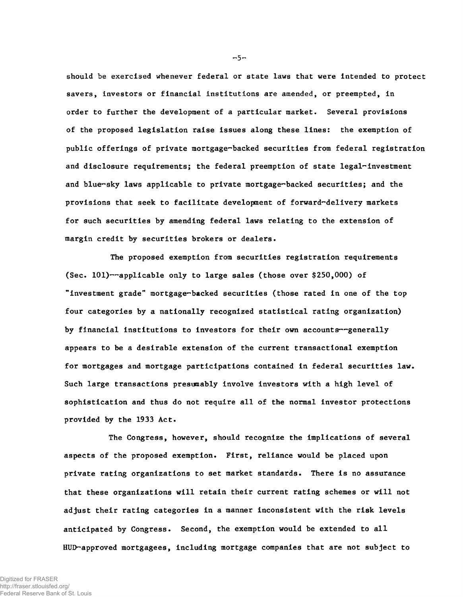**should be exercised whenever federal or state laws that were intended to protect savers, investors or financial institutions are amended, or preempted, in order to further the development of a particular market. Several provisions of the proposed legislation raise issues along these lines: the exemption of public offerings of private mortgage-backed securities from federal registration and disclosure requirements; the federal preemption of state legal-investment and blue-sky laws applicable to private mortgage-backed securities; and the provisions that seek to facilitate development of forward-delivery markets for such securities by amending federal laws relating to the extension of margin credit by securities brokers or dealers.**

**The proposed exemption from securities registration requirements (Sec. 101)— applicable only to large sales (those over \$250,000) of "investment grade" mortgage-backed securities (those rated in one of the top four categories by a nationally recognized statistical rating organization) by financial institutions to investors for their own accounts— generally appears to be a desirable extension of the current transactional exemption for mortgages and mortgage participations contained in federal securities law. Such large transactions presumably involve investors with a high level of sophistication and thus do not require all of the normal investor protections provided by the 1933 Act.**

**The Congress, however, should recognize the implications of several aspects of the proposed exemption. First, reliance would be placed upon private rating organizations to set market standards. There is no assurance that these organizations will retain their current rating schemes or will not adjust their rating categories in a manner inconsistent with the risk levels anticipated by Congress. Second, the exemption would be extended to all HUD-approved mortgagees, including mortgage companies that are not subject to**

 $-5-$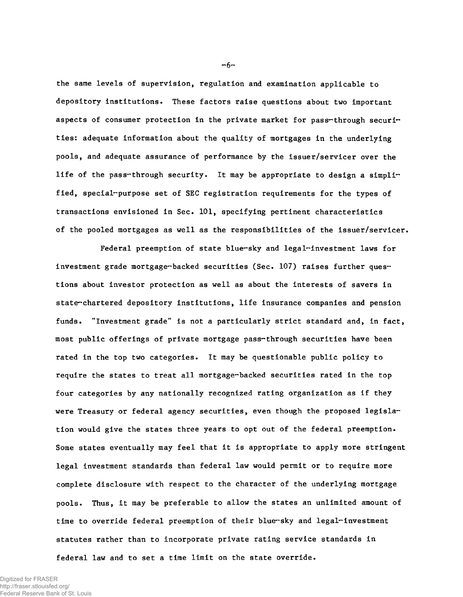**the same levels of supervision, regulation and examination applicable to depository institutions. These factors raise questions about two important aspects of consumer protection in the private market for pass-through securities: adequate information about the quality of mortgages in the underlying pools, and adequate assurance of performance by the issuer/servicer over the life of the pass-through security. It may be appropriate to design a simplified, special-purpose set of SEC registration requirements for the types of transactions envisioned in Sec. 101, specifying pertinent characteristics of the pooled mortgages as well as the responsibilities of the issuer/servicer.**

**Federal preemption of state blue-sky and legal-investment laws for investment grade mortgage-backed securities (Sec. 107) raises further questions about investor protection as well as about the interests of savers in state-chartered depository institutions, life insurance companies and pension funds. "Investment grade" is not a particularly strict standard and, in fact, most public offerings of private mortgage pass-through securities have been rated in the top two categories. It may be questionable public policy to require the states to treat all mortgage-backed securities rated in the top four categories by any nationally recognized rating organization as if they were Treasury or federal agency securities, even though the proposed legislation would give the states three years to opt out of the federal preemption. Some states eventually may feel that it is appropriate to apply more stringent legal investment standards than federal law would permit or to require more complete disclosure with respect to the character of the underlying mortgage pools. Thus, it may be preferable to allow the states an unlimited amount of time to override federal preemption of their blue-sky and legal-investment statutes rather than to incorporate private rating service standards in federal law and to set a time limit on the state override.**

Digitized for FRASER http://fraser.stlouisfed.org/ Federal Reserve Bank of St. Louis  $-6-$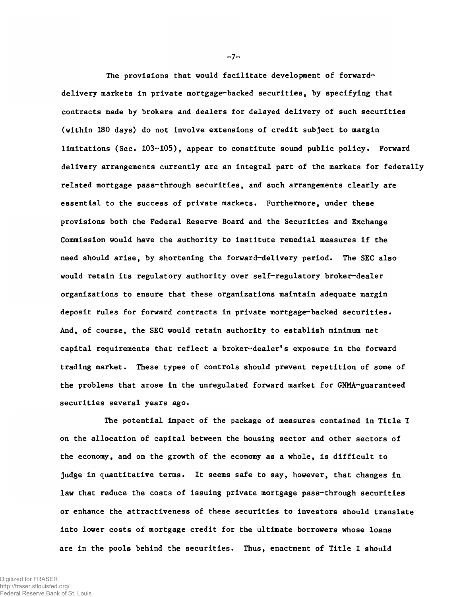**The provisions that would facilitate development of forwarddelivery markets in private mortgage-backed securities, by specifying that contracts made by brokers and dealers for delayed delivery of such securities (within 180 days) do not involve extensions of credit subject to margin limitations (Sec. 103-105), appear to constitute sound public policy. Forward delivery arrangements currently are an integral part of the markets for federally related mortgage pass-through securities, and such arrangements clearly are essential to the success of private markets. Furthermore, under these provisions both the Federal Reserve Board and the Securities and Exchange Commission would have the authority to institute remedial measures if the need should arise, by shortening the forward-delivery period. The SEC also would retain its regulatory authority over self-regulatory broker-dealer organizations to ensure that these organizations maintain adequate margin deposit rules for forward contracts in private mortgage-backed securities. And, of course, the SEC would retain authority to establish minimum net capital requirements that reflect a broker-dealer1 s exposure in the forward trading market. These types of controls should prevent repetition of some of the problems that arose in the unregulated forward market for GNMA-guaranteed securities several years ago.**

**The potential impact of the package of measures contained in Title I on the allocation of capital between the housing sector and other sectors of the economy, and on the growth of the economy as a whole, is difficult to judge in quantitative terms. It seems safe to say, however, that changes in law that reduce the costs of issuing private mortgage pass-through securities or enhance the attractiveness of these securities to investors should translate into lower costs of mortgage credit for the ultimate borrowers whose loans are in the pools behind the securities. Thus, enactment of Title I should**

 $-7-$